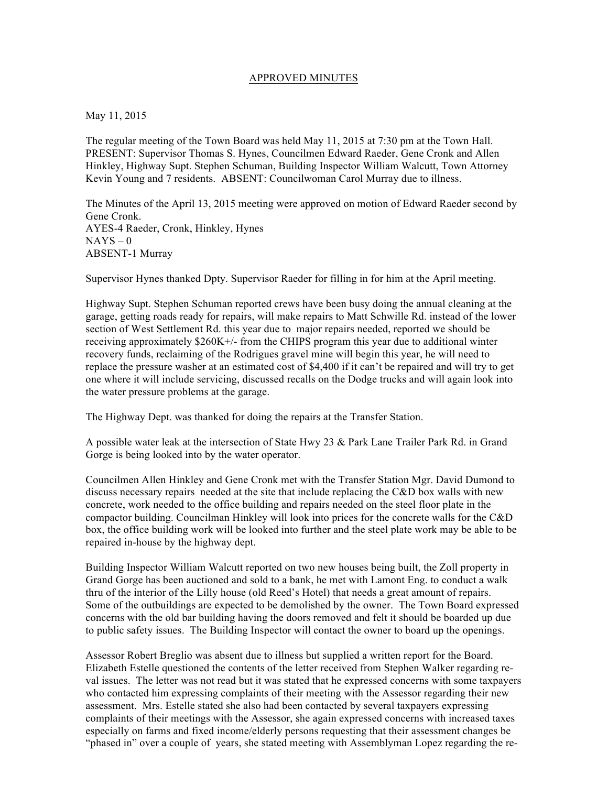## APPROVED MINUTES

## May 11, 2015

The regular meeting of the Town Board was held May 11, 2015 at 7:30 pm at the Town Hall. PRESENT: Supervisor Thomas S. Hynes, Councilmen Edward Raeder, Gene Cronk and Allen Hinkley, Highway Supt. Stephen Schuman, Building Inspector William Walcutt, Town Attorney Kevin Young and 7 residents. ABSENT: Councilwoman Carol Murray due to illness.

The Minutes of the April 13, 2015 meeting were approved on motion of Edward Raeder second by Gene Cronk. AYES-4 Raeder, Cronk, Hinkley, Hynes  $NAYS - 0$ ABSENT-1 Murray

Supervisor Hynes thanked Dpty. Supervisor Raeder for filling in for him at the April meeting.

Highway Supt. Stephen Schuman reported crews have been busy doing the annual cleaning at the garage, getting roads ready for repairs, will make repairs to Matt Schwille Rd. instead of the lower section of West Settlement Rd. this year due to major repairs needed, reported we should be receiving approximately \$260K+/- from the CHIPS program this year due to additional winter recovery funds, reclaiming of the Rodrigues gravel mine will begin this year, he will need to replace the pressure washer at an estimated cost of \$4,400 if it can't be repaired and will try to get one where it will include servicing, discussed recalls on the Dodge trucks and will again look into the water pressure problems at the garage.

The Highway Dept. was thanked for doing the repairs at the Transfer Station.

A possible water leak at the intersection of State Hwy 23 & Park Lane Trailer Park Rd. in Grand Gorge is being looked into by the water operator.

Councilmen Allen Hinkley and Gene Cronk met with the Transfer Station Mgr. David Dumond to discuss necessary repairs needed at the site that include replacing the C&D box walls with new concrete, work needed to the office building and repairs needed on the steel floor plate in the compactor building. Councilman Hinkley will look into prices for the concrete walls for the C&D box, the office building work will be looked into further and the steel plate work may be able to be repaired in-house by the highway dept.

Building Inspector William Walcutt reported on two new houses being built, the Zoll property in Grand Gorge has been auctioned and sold to a bank, he met with Lamont Eng. to conduct a walk thru of the interior of the Lilly house (old Reed's Hotel) that needs a great amount of repairs. Some of the outbuildings are expected to be demolished by the owner. The Town Board expressed concerns with the old bar building having the doors removed and felt it should be boarded up due to public safety issues. The Building Inspector will contact the owner to board up the openings.

Assessor Robert Breglio was absent due to illness but supplied a written report for the Board. Elizabeth Estelle questioned the contents of the letter received from Stephen Walker regarding reval issues. The letter was not read but it was stated that he expressed concerns with some taxpayers who contacted him expressing complaints of their meeting with the Assessor regarding their new assessment. Mrs. Estelle stated she also had been contacted by several taxpayers expressing complaints of their meetings with the Assessor, she again expressed concerns with increased taxes especially on farms and fixed income/elderly persons requesting that their assessment changes be "phased in" over a couple of years, she stated meeting with Assemblyman Lopez regarding the re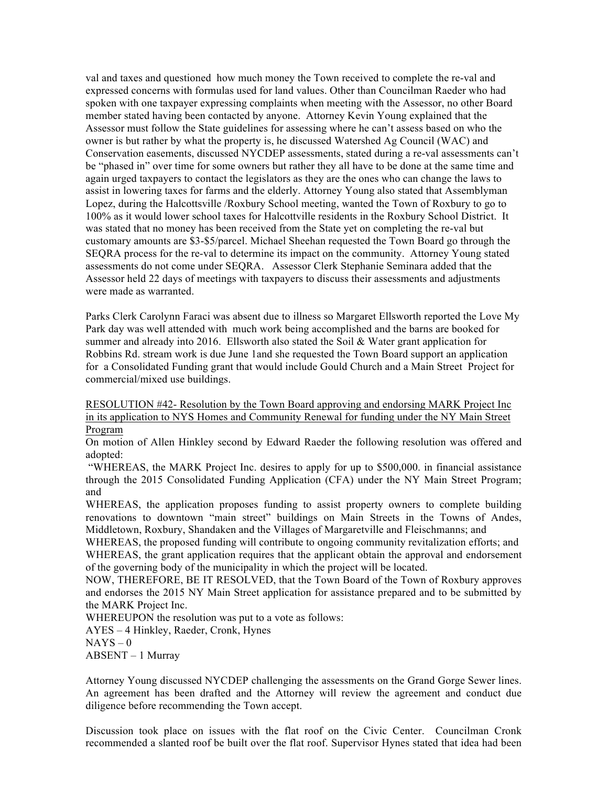val and taxes and questioned how much money the Town received to complete the re-val and expressed concerns with formulas used for land values. Other than Councilman Raeder who had spoken with one taxpayer expressing complaints when meeting with the Assessor, no other Board member stated having been contacted by anyone. Attorney Kevin Young explained that the Assessor must follow the State guidelines for assessing where he can't assess based on who the owner is but rather by what the property is, he discussed Watershed Ag Council (WAC) and Conservation easements, discussed NYCDEP assessments, stated during a re-val assessments can't be "phased in" over time for some owners but rather they all have to be done at the same time and again urged taxpayers to contact the legislators as they are the ones who can change the laws to assist in lowering taxes for farms and the elderly. Attorney Young also stated that Assemblyman Lopez, during the Halcottsville /Roxbury School meeting, wanted the Town of Roxbury to go to 100% as it would lower school taxes for Halcottville residents in the Roxbury School District. It was stated that no money has been received from the State yet on completing the re-val but customary amounts are \$3-\$5/parcel. Michael Sheehan requested the Town Board go through the SEQRA process for the re-val to determine its impact on the community. Attorney Young stated assessments do not come under SEQRA. Assessor Clerk Stephanie Seminara added that the Assessor held 22 days of meetings with taxpayers to discuss their assessments and adjustments were made as warranted.

Parks Clerk Carolynn Faraci was absent due to illness so Margaret Ellsworth reported the Love My Park day was well attended with much work being accomplished and the barns are booked for summer and already into 2016. Ellsworth also stated the Soil & Water grant application for Robbins Rd. stream work is due June 1and she requested the Town Board support an application for a Consolidated Funding grant that would include Gould Church and a Main Street Project for commercial/mixed use buildings.

RESOLUTION #42- Resolution by the Town Board approving and endorsing MARK Project Inc in its application to NYS Homes and Community Renewal for funding under the NY Main Street Program

On motion of Allen Hinkley second by Edward Raeder the following resolution was offered and adopted:

"WHEREAS, the MARK Project Inc. desires to apply for up to \$500,000. in financial assistance through the 2015 Consolidated Funding Application (CFA) under the NY Main Street Program; and

WHEREAS, the application proposes funding to assist property owners to complete building renovations to downtown "main street" buildings on Main Streets in the Towns of Andes, Middletown, Roxbury, Shandaken and the Villages of Margaretville and Fleischmanns; and

WHEREAS, the proposed funding will contribute to ongoing community revitalization efforts; and WHEREAS, the grant application requires that the applicant obtain the approval and endorsement of the governing body of the municipality in which the project will be located.

NOW, THEREFORE, BE IT RESOLVED, that the Town Board of the Town of Roxbury approves and endorses the 2015 NY Main Street application for assistance prepared and to be submitted by the MARK Project Inc.

WHEREUPON the resolution was put to a vote as follows:

AYES – 4 Hinkley, Raeder, Cronk, Hynes

 $NAYS - 0$ 

ABSENT – 1 Murray

Attorney Young discussed NYCDEP challenging the assessments on the Grand Gorge Sewer lines. An agreement has been drafted and the Attorney will review the agreement and conduct due diligence before recommending the Town accept.

Discussion took place on issues with the flat roof on the Civic Center. Councilman Cronk recommended a slanted roof be built over the flat roof. Supervisor Hynes stated that idea had been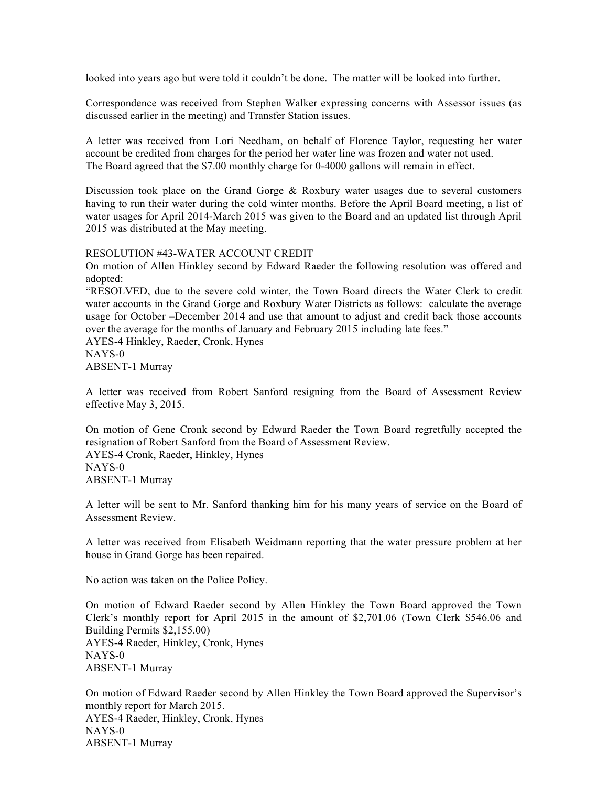looked into years ago but were told it couldn't be done. The matter will be looked into further.

Correspondence was received from Stephen Walker expressing concerns with Assessor issues (as discussed earlier in the meeting) and Transfer Station issues.

A letter was received from Lori Needham, on behalf of Florence Taylor, requesting her water account be credited from charges for the period her water line was frozen and water not used. The Board agreed that the \$7.00 monthly charge for 0-4000 gallons will remain in effect.

Discussion took place on the Grand Gorge  $\&$  Roxbury water usages due to several customers having to run their water during the cold winter months. Before the April Board meeting, a list of water usages for April 2014-March 2015 was given to the Board and an updated list through April 2015 was distributed at the May meeting.

## RESOLUTION #43-WATER ACCOUNT CREDIT

On motion of Allen Hinkley second by Edward Raeder the following resolution was offered and adopted:

"RESOLVED, due to the severe cold winter, the Town Board directs the Water Clerk to credit water accounts in the Grand Gorge and Roxbury Water Districts as follows: calculate the average usage for October –December 2014 and use that amount to adjust and credit back those accounts over the average for the months of January and February 2015 including late fees."

AYES-4 Hinkley, Raeder, Cronk, Hynes NAYS-0 ABSENT-1 Murray

A letter was received from Robert Sanford resigning from the Board of Assessment Review effective May 3, 2015.

On motion of Gene Cronk second by Edward Raeder the Town Board regretfully accepted the resignation of Robert Sanford from the Board of Assessment Review. AYES-4 Cronk, Raeder, Hinkley, Hynes NAYS-0 ABSENT-1 Murray

A letter will be sent to Mr. Sanford thanking him for his many years of service on the Board of Assessment Review.

A letter was received from Elisabeth Weidmann reporting that the water pressure problem at her house in Grand Gorge has been repaired.

No action was taken on the Police Policy.

On motion of Edward Raeder second by Allen Hinkley the Town Board approved the Town Clerk's monthly report for April 2015 in the amount of \$2,701.06 (Town Clerk \$546.06 and Building Permits \$2,155.00) AYES-4 Raeder, Hinkley, Cronk, Hynes NAYS-0 ABSENT-1 Murray

On motion of Edward Raeder second by Allen Hinkley the Town Board approved the Supervisor's monthly report for March 2015. AYES-4 Raeder, Hinkley, Cronk, Hynes NAYS-0 ABSENT-1 Murray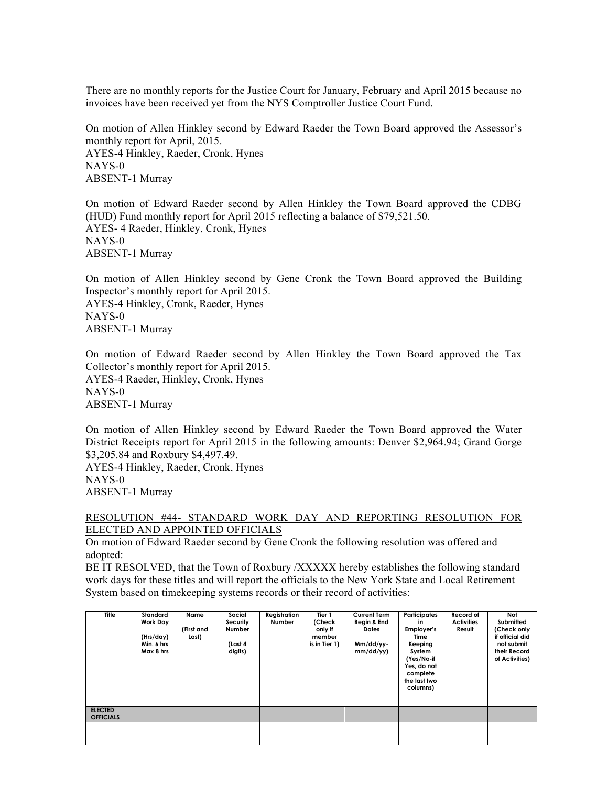There are no monthly reports for the Justice Court for January, February and April 2015 because no invoices have been received yet from the NYS Comptroller Justice Court Fund.

On motion of Allen Hinkley second by Edward Raeder the Town Board approved the Assessor's monthly report for April, 2015. AYES-4 Hinkley, Raeder, Cronk, Hynes NAYS-0 ABSENT-1 Murray

On motion of Edward Raeder second by Allen Hinkley the Town Board approved the CDBG (HUD) Fund monthly report for April 2015 reflecting a balance of \$79,521.50. AYES- 4 Raeder, Hinkley, Cronk, Hynes NAYS-0 ABSENT-1 Murray

On motion of Allen Hinkley second by Gene Cronk the Town Board approved the Building Inspector's monthly report for April 2015. AYES-4 Hinkley, Cronk, Raeder, Hynes NAYS-0 ABSENT-1 Murray

On motion of Edward Raeder second by Allen Hinkley the Town Board approved the Tax Collector's monthly report for April 2015. AYES-4 Raeder, Hinkley, Cronk, Hynes NAYS-0

ABSENT-1 Murray

On motion of Allen Hinkley second by Edward Raeder the Town Board approved the Water District Receipts report for April 2015 in the following amounts: Denver \$2,964.94; Grand Gorge \$3,205.84 and Roxbury \$4,497.49.

AYES-4 Hinkley, Raeder, Cronk, Hynes NAYS-0 ABSENT-1 Murray

## RESOLUTION #44- STANDARD WORK DAY AND REPORTING RESOLUTION FOR ELECTED AND APPOINTED OFFICIALS

On motion of Edward Raeder second by Gene Cronk the following resolution was offered and adopted:

BE IT RESOLVED, that the Town of Roxbury /XXXXX hereby establishes the following standard work days for these titles and will report the officials to the New York State and Local Retirement System based on timekeeping systems records or their record of activities:

| Title            | Standard<br><b>Work Day</b><br>(Hrs/day)<br>Min. 6 hrs<br>Max 8 hrs | Name<br>(First and<br>Last) | Social<br>Security<br><b>Number</b><br>(Last 4<br>digits) | Registration<br>Number | Tier 1<br>(Check<br>only if<br>member<br>is in Tier 1) | <b>Current Term</b><br>Begin & End<br><b>Dates</b><br>Mm/dd/yy-<br>mm/dd/yy) | Participates<br>in<br>Employer's<br>Time<br>Keeping<br>System<br>(Yes/No-if<br>Yes, do not<br>complete<br>the last two<br>columns) | Record of<br><b>Activities</b><br>Result | Not<br>Submitted<br>(Check only<br>if official did<br>not submit<br>their Record<br>of Activities) |
|------------------|---------------------------------------------------------------------|-----------------------------|-----------------------------------------------------------|------------------------|--------------------------------------------------------|------------------------------------------------------------------------------|------------------------------------------------------------------------------------------------------------------------------------|------------------------------------------|----------------------------------------------------------------------------------------------------|
| <b>ELECTED</b>   |                                                                     |                             |                                                           |                        |                                                        |                                                                              |                                                                                                                                    |                                          |                                                                                                    |
| <b>OFFICIALS</b> |                                                                     |                             |                                                           |                        |                                                        |                                                                              |                                                                                                                                    |                                          |                                                                                                    |
|                  |                                                                     |                             |                                                           |                        |                                                        |                                                                              |                                                                                                                                    |                                          |                                                                                                    |
|                  |                                                                     |                             |                                                           |                        |                                                        |                                                                              |                                                                                                                                    |                                          |                                                                                                    |
|                  |                                                                     |                             |                                                           |                        |                                                        |                                                                              |                                                                                                                                    |                                          |                                                                                                    |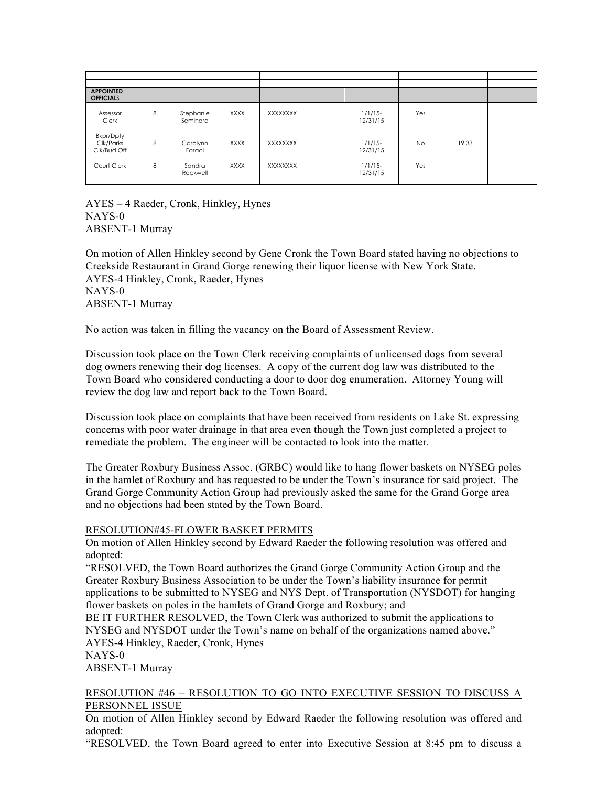| <b>APPOINTED</b><br><b>OFFICIALS</b>         |   |                       |             |          |                        |           |       |  |
|----------------------------------------------|---|-----------------------|-------------|----------|------------------------|-----------|-------|--|
| Assessor<br>Clerk                            | 8 | Stephanie<br>Seminara | <b>XXXX</b> | XXXXXXXX | $1/1/15$ -<br>12/31/15 | Yes       |       |  |
| <b>Bkpr/Dpty</b><br>Clk/Parks<br>Clk/Bud Off | 8 | Carolynn<br>Faraci    | <b>XXXX</b> | XXXXXXXX | $1/1/15$ -<br>12/31/15 | <b>No</b> | 19.33 |  |
| Court Clerk                                  | 8 | Sandra<br>Rockwell    | <b>XXXX</b> | XXXXXXXX | $1/1/15$ -<br>12/31/15 | Yes       |       |  |
|                                              |   |                       |             |          |                        |           |       |  |

AYES – 4 Raeder, Cronk, Hinkley, Hynes NAYS-0 ABSENT-1 Murray

On motion of Allen Hinkley second by Gene Cronk the Town Board stated having no objections to Creekside Restaurant in Grand Gorge renewing their liquor license with New York State. AYES-4 Hinkley, Cronk, Raeder, Hynes NAYS-0 ABSENT-1 Murray

No action was taken in filling the vacancy on the Board of Assessment Review.

Discussion took place on the Town Clerk receiving complaints of unlicensed dogs from several dog owners renewing their dog licenses. A copy of the current dog law was distributed to the Town Board who considered conducting a door to door dog enumeration. Attorney Young will review the dog law and report back to the Town Board.

Discussion took place on complaints that have been received from residents on Lake St. expressing concerns with poor water drainage in that area even though the Town just completed a project to remediate the problem. The engineer will be contacted to look into the matter.

The Greater Roxbury Business Assoc. (GRBC) would like to hang flower baskets on NYSEG poles in the hamlet of Roxbury and has requested to be under the Town's insurance for said project. The Grand Gorge Community Action Group had previously asked the same for the Grand Gorge area and no objections had been stated by the Town Board.

## RESOLUTION#45-FLOWER BASKET PERMITS

On motion of Allen Hinkley second by Edward Raeder the following resolution was offered and adopted:

"RESOLVED, the Town Board authorizes the Grand Gorge Community Action Group and the Greater Roxbury Business Association to be under the Town's liability insurance for permit applications to be submitted to NYSEG and NYS Dept. of Transportation (NYSDOT) for hanging flower baskets on poles in the hamlets of Grand Gorge and Roxbury; and

BE IT FURTHER RESOLVED, the Town Clerk was authorized to submit the applications to NYSEG and NYSDOT under the Town's name on behalf of the organizations named above." AYES-4 Hinkley, Raeder, Cronk, Hynes

NAYS-0

ABSENT-1 Murray

# RESOLUTION #46 – RESOLUTION TO GO INTO EXECUTIVE SESSION TO DISCUSS A PERSONNEL ISSUE

On motion of Allen Hinkley second by Edward Raeder the following resolution was offered and adopted:

"RESOLVED, the Town Board agreed to enter into Executive Session at 8:45 pm to discuss a